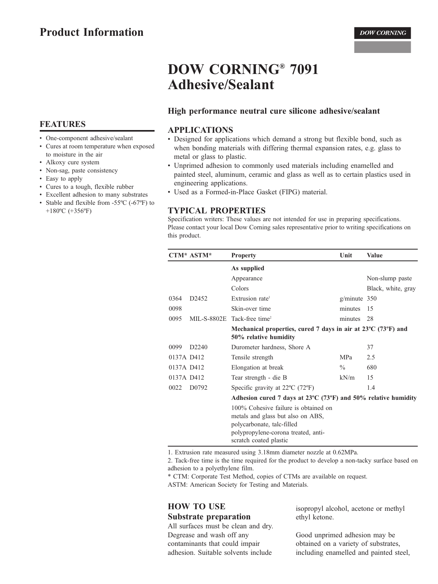# **DOW CORNING® 7091 Adhesive/Sealant**

#### High performance neutral cure silicone adhesive/sealant

#### **APPLICATIONS**

- Designed for applications which demand a strong but flexible bond, such as when bonding materials with differing thermal expansion rates, e.g. glass to metal or glass to plastic.
- Unprimed adhesion to commonly used materials including enamelled and painted steel, aluminum, ceramic and glass as well as to certain plastics used in engineering applications.
- Used as a Formed-in-Place Gasket (FIPG) material.

#### **TYPICAL PROPERTIES**

Specification writers: These values are not intended for use in preparing specifications. Please contact your local Dow Corning sales representative prior to writing specifications on this product.

|            | CTM* ASTM*        | <b>Property</b>                                                                                                                                                          | Unit           | <b>Value</b>       |
|------------|-------------------|--------------------------------------------------------------------------------------------------------------------------------------------------------------------------|----------------|--------------------|
|            |                   | As supplied                                                                                                                                                              |                |                    |
|            |                   | Appearance                                                                                                                                                               |                | Non-slump paste    |
|            |                   | Colors                                                                                                                                                                   |                | Black, white, gray |
| 0364       | D <sub>2452</sub> | Extrusion rate <sup>1</sup>                                                                                                                                              | $g/minute$ 350 |                    |
| 0098       |                   | Skin-over time                                                                                                                                                           | minutes        | 15                 |
| 0095       |                   | MIL-S-8802E Tack-free time <sup>2</sup>                                                                                                                                  | minutes        | 28                 |
|            |                   | Mechanical properties, cured 7 days in air at $23^{\circ}$ C (73 $^{\circ}$ F) and<br>50% relative humidity                                                              |                |                    |
| 0099       | D <sub>2240</sub> | Durometer hardness, Shore A                                                                                                                                              |                | 37                 |
| 0137A D412 |                   | Tensile strength                                                                                                                                                         | <b>MPa</b>     | 2.5                |
| 0137A D412 |                   | Elongation at break                                                                                                                                                      | $\frac{0}{0}$  | 680                |
| 0137A D412 |                   | Tear strength - die B                                                                                                                                                    | kN/m           | 15                 |
| 0022       | D <sub>0792</sub> | Specific gravity at $22^{\circ}$ C (72 $^{\circ}$ F)                                                                                                                     |                | 1.4                |
|            |                   | Adhesion cured 7 days at $23^{\circ}$ C (73 $^{\circ}$ F) and 50% relative humidity                                                                                      |                |                    |
|            |                   | 100% Cohesive failure is obtained on<br>metals and glass but also on ABS,<br>polycarbonate, talc-filled<br>polypropylene-corona treated, anti-<br>scratch coated plastic |                |                    |

1. Extrusion rate measured using 3.18mm diameter nozzle at 0.62MPa.

2. Tack-free time is the time required for the product to develop a non-tacky surface based on adhesion to a polyethylene film.

\* CTM: Corporate Test Method, copies of CTMs are available on request.

ASTM: American Society for Testing and Materials.

# **HOW TO USE Substrate preparation**

All surfaces must be clean and dry. Degrease and wash off any contaminants that could impair adhesion. Suitable solvents include

isopropyl alcohol, acetone or methyl ethyl ketone.

Good unprimed adhesion may be obtained on a variety of substrates. including enamelled and painted steel.

# **FEATURES**

- One-component adhesive/sealant
- Cures at room temperature when exposed to moisture in the air
- Alkoxy cure system
- Non-sag, paste consistency
- Easy to apply
- Cures to a tough, flexible rubber
- Excellent adhesion to many substrates
- Stable and flexible from -55°C (-67°F) to +180°C (+356°F)